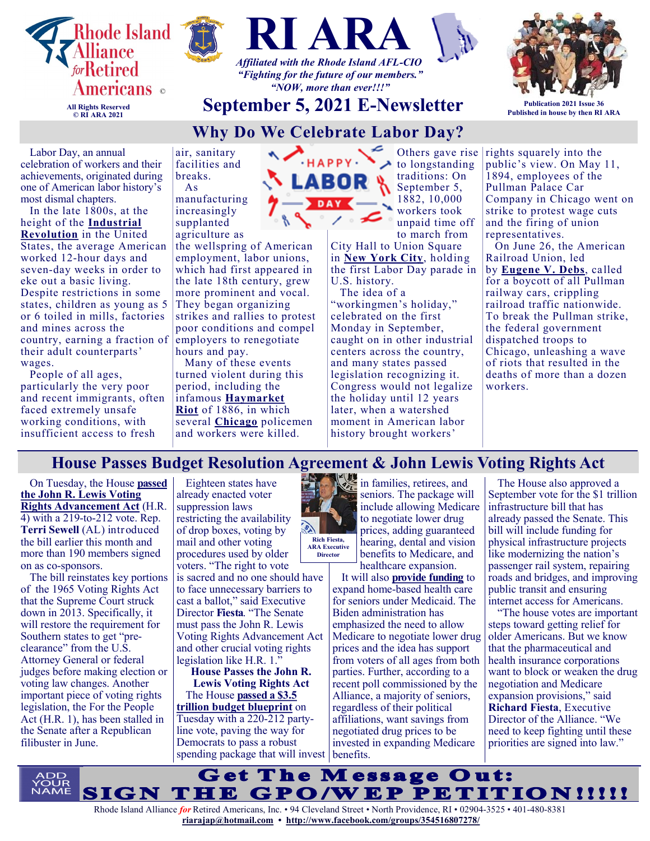



*Affiliated with the Rhode Island AFL-CIO* **RI ARA**

*"Fighting for the future of our members." "NOW, more than ever!!!"*



**Published in house by then RI ARA**

September 5, 2021 E-Newsletter **Publication 2021 Issue 36** 

## **Why Do We Celebrate Labor Day?**

Labor Day, an annual celebration of workers and their achievements, originated during one of American labor history's most dismal chapters.

In the late 1800s, at the height of the **[Industrial](https://www.history.com/topics/industrial-revolution)  [Revolution](https://www.history.com/topics/industrial-revolution)** in the United States, the average American worked 12-hour days and seven-day weeks in order to eke out a basic living. Despite restrictions in some states, children as young as 5 or 6 toiled in mills, factories and mines across the country, earning a fraction of their adult counterparts' wages.

People of all ages, particularly the very poor and recent immigrants, often faced extremely unsafe working conditions, with insufficient access to fresh

air, sanitary facilities and breaks. As manufacturing

increasingly supplanted agriculture as

the wellspring of American employment, labor unions, which had first appeared in the late 18th century, grew more prominent and vocal. They began organizing strikes and rallies to protest poor conditions and compel employers to renegotiate hours and pay.

Many of these events turned violent during this period, including the infamous **[Haymarket](https://www.history.com/topics/haymarket-riot)  [Riot](https://www.history.com/topics/haymarket-riot)** of 1886, in which several **[Chicago](https://www.history.com/topics/chicago)** policemen and workers were killed.



 $\blacktriangle$  to longstanding traditions: On September 5, 1882, 10,000 workers took unpaid time off to march from

City Hall to Union Square in **[New York City](https://www.history.com/topics/us-states/new-york-city)**, holding the first Labor Day parade in U.S. history.

The idea of a

"workingmen's holiday," celebrated on the first Monday in September, caught on in other industrial centers across the country, and many states passed legislation recognizing it. Congress would not legalize the holiday until 12 years later, when a watershed moment in American labor history brought workers'

Others gave rise rights squarely into the public's view. On May 11, 1894, employees of the Pullman Palace Car Company in Chicago went on strike to protest wage cuts and the firing of union representatives.

> On June 26, the American Railroad Union, led by **[Eugene V. Debs](https://www.biography.com/people/eugene-v-debs-9269253)**, called for a boycott of all Pullman railway cars, crippling railroad traffic nationwide. To break the Pullman strike, the federal government dispatched troops to Chicago, unleashing a wave of riots that resulted in the deaths of more than a dozen workers.

#### **House Passes Budget Resolution Agreement & John Lewis Voting Rights Act**

On Tuesday, the House **[passed](https://na01.safelinks.protection.outlook.com/?url=https%3A%2F%2Fu1584542.ct.sendgrid.net%2Fss%2Fc%2FatcYNHk4Eh2YdGnwBh-YDDUV27dB1SLFWpo-Uwox6ENRH3U9FclIKJOe1_4Lo16MOdmizqxQi2AUptsMe8DJtXR8buO7vgtA4GzqcqxBp0jfZFCzTciHr0KxtTEes4bPRdgNT4bMPzzAi8SBFmOz7SOA8-pavS)  [the John R. Lewis Voting](https://na01.safelinks.protection.outlook.com/?url=https%3A%2F%2Fu1584542.ct.sendgrid.net%2Fss%2Fc%2FatcYNHk4Eh2YdGnwBh-YDDUV27dB1SLFWpo-Uwox6ENRH3U9FclIKJOe1_4Lo16MOdmizqxQi2AUptsMe8DJtXR8buO7vgtA4GzqcqxBp0jfZFCzTciHr0KxtTEes4bPRdgNT4bMPzzAi8SBFmOz7SOA8-pavS)  [Rights Advancement Act](https://na01.safelinks.protection.outlook.com/?url=https%3A%2F%2Fu1584542.ct.sendgrid.net%2Fss%2Fc%2FatcYNHk4Eh2YdGnwBh-YDDUV27dB1SLFWpo-Uwox6ENRH3U9FclIKJOe1_4Lo16MOdmizqxQi2AUptsMe8DJtXR8buO7vgtA4GzqcqxBp0jfZFCzTciHr0KxtTEes4bPRdgNT4bMPzzAi8SBFmOz7SOA8-pavS)** (H.R. 4) with a 219-to-212 vote. Rep. **Terri Sewell** (AL) introduced the bill earlier this month and more than 190 members signed on as co-sponsors.

The bill reinstates key portions of the 1965 Voting Rights Act that the Supreme Court struck down in 2013. Specifically, it will restore the requirement for Southern states to get "preclearance" from the U.S. Attorney General or federal judges before making election or voting law changes. Another important piece of voting rights legislation, the For the People Act (H.R. 1), has been stalled in the Senate after a Republican filibuster in June.

Eighteen states have already enacted voter suppression laws restricting the availability of drop boxes, voting by mail and other voting procedures used by older voters. "The right to vote

is sacred and no one should have to face unnecessary barriers to cast a ballot," said Executive Director **Fiesta**. "The Senate must pass the John R. Lewis Voting Rights Advancement Act and other crucial voting rights legislation like H.R. 1.'

**House Passes the John R. Lewis Voting Rights Act** The House **[passed a \\$3.5](https://na01.safelinks.protection.outlook.com/?url=https%3A%2F%2Fu1584542.ct.sendgrid.net%2Fss%2Fc%2FatcYNHk4Eh2YdGnwBh-YDDUV27dB1SLFWpo-Uwox6EMQGKb4EVeN7X0u1Ml4dyYjcl2PNkgFxqPsLUW8m-43RQDMEQuZut5NidMfGfEJ5amVzX0YEleuEP1mKVk8M9tv2rrBDJddjUuNcysBuVrGlXPLmd90Kr)  [trillion budget blueprint](https://na01.safelinks.protection.outlook.com/?url=https%3A%2F%2Fu1584542.ct.sendgrid.net%2Fss%2Fc%2FatcYNHk4Eh2YdGnwBh-YDDUV27dB1SLFWpo-Uwox6EMQGKb4EVeN7X0u1Ml4dyYjcl2PNkgFxqPsLUW8m-43RQDMEQuZut5NidMfGfEJ5amVzX0YEleuEP1mKVk8M9tv2rrBDJddjUuNcysBuVrGlXPLmd90Kr)** on Tuesday with a 220-212 partyline vote, paving the way for Democrats to pass a robust spending package that will invest benefits.

**Rich Fiesta, ARA Executive Director**

in families, retirees, and seniors. The package will include allowing Medicare to negotiate lower drug prices, adding guaranteed hearing, dental and vision benefits to Medicare, and healthcare expansion.

It will also **[provide funding](https://na01.safelinks.protection.outlook.com/?url=https%3A%2F%2Fu1584542.ct.sendgrid.net%2Fss%2Fc%2FatcYNHk4Eh2YdGnwBh-YDNClnthegaegMbidLNE7CREFtp7_HPO0ZxFeKgkomgwZj8Qe5tvY0EEFxRtWHowAy8NUM4w4kiiqw1lzTiUjJk_cwZiVnua550QW0SXev1i7wJeA6A0ALKcQ-amxuqTvSZBTXUPuZq)** to expand home-based health care for seniors under Medicaid. The Biden administration has emphasized the need to allow Medicare to negotiate lower drug prices and the idea has support from voters of all ages from both parties. Further, according to a recent poll commissioned by the Alliance, a majority of seniors, regardless of their political affiliations, want savings from negotiated drug prices to be invested in expanding Medicare

The House also approved a September vote for the \$1 trillion infrastructure bill that has already passed the Senate. This bill will include funding for physical infrastructure projects like modernizing the nation's passenger rail system, repairing roads and bridges, and improving public transit and ensuring internet access for Americans.

"The house votes are important steps toward getting relief for older Americans. But we know that the pharmaceutical and health insurance corporations want to block or weaken the drug negotiation and Medicare expansion provisions," said **Richard Fiesta**, Executive Director of the Alliance. "We need to keep fighting until these priorities are signed into law."



Rhode Island Alliance *for* Retired Americans, Inc. • 94 Cleveland Street • North Providence, RI • 02904-3525 • 401-480-8381 **[riarajap@hotmail.com](mailto:riarajap@hotmail.com) • [http://www.facebook.com/groups/354516807278/](https://www.facebook.com/groups/354516807278/)**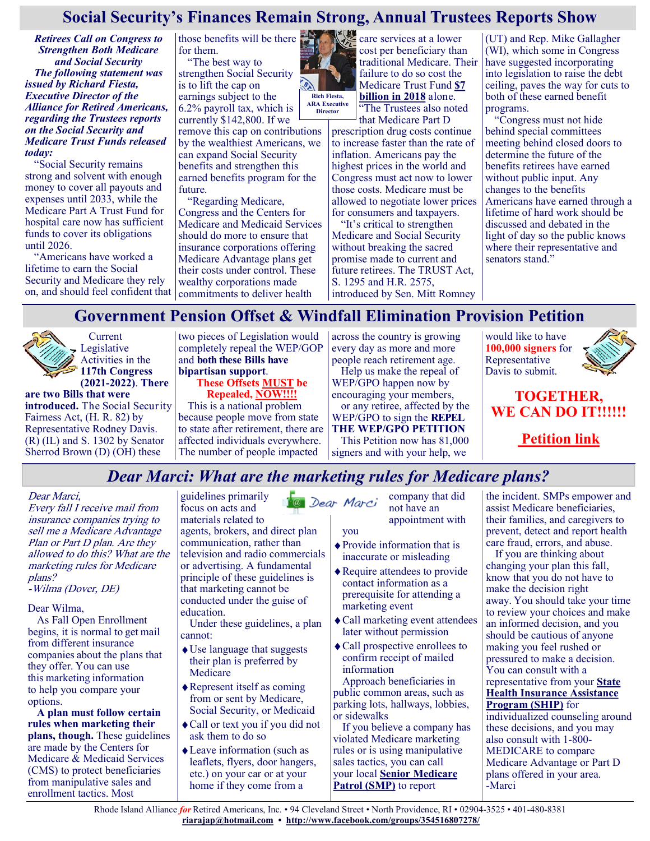#### **Social Security's Finances Remain Strong, Annual Trustees Reports Show**

*Retirees Call on Congress to Strengthen Both Medicare and Social Security The following statement was issued by Richard Fiesta, Executive Director of the Alliance for Retired Americans, regarding the Trustees reports on the Social Security and Medicare Trust Funds released today:*

"Social Security remains strong and solvent with enough money to cover all payouts and expenses until 2033, while the Medicare Part A Trust Fund for hospital care now has sufficient funds to cover its obligations until 2026.

"Americans have worked a lifetime to earn the Social Security and Medicare they rely on, and should feel confident that

those benefits will be there for them. "The best way to

strengthen Social Security is to lift the cap on earnings subject to the 6.2% payroll tax, which is currently \$142,800. If we

remove this cap on contributions by the wealthiest Americans, we can expand Social Security benefits and strengthen this earned benefits program for the future.

"Regarding Medicare, Congress and the Centers for Medicare and Medicaid Services should do more to ensure that insurance corporations offering Medicare Advantage plans get their costs under control. These wealthy corporations made commitments to deliver health



**ARA Executive Director**

cost per beneficiary than traditional Medicare. Their failure to do so cost the Medicare Trust Fund **[\\$7](http://link.mediaoutreach.meltwater.com/ls/click?upn=qxxqyjyNsp8YmpkvvroyshA9OYCx-2BrDSvgmYTNYISdGnDqVQL7qXDIY-2FAvAfZTjNTlG6-2BT3KWTKcaALSm3-2Frql4sPoLth-2FHLRHum9oBb3Jq2P8FxwrriWQ2ciaquwfP6-2BlIihoFePHBkCg-2FOO-2FXuHORpq1-2BZ-2F5ogSnkPTDBjUUhI8MxZMb0s0mDaI3)  [billion in 2018](http://link.mediaoutreach.meltwater.com/ls/click?upn=qxxqyjyNsp8YmpkvvroyshA9OYCx-2BrDSvgmYTNYISdGnDqVQL7qXDIY-2FAvAfZTjNTlG6-2BT3KWTKcaALSm3-2Frql4sPoLth-2FHLRHum9oBb3Jq2P8FxwrriWQ2ciaquwfP6-2BlIihoFePHBkCg-2FOO-2FXuHORpq1-2BZ-2F5ogSnkPTDBjUUhI8MxZMb0s0mDaI3)** alone. "The Trustees also noted that Medicare Part D

prescription drug costs continue to increase faster than the rate of inflation. Americans pay the highest prices in the world and Congress must act now to lower those costs. Medicare must be allowed to negotiate lower prices for consumers and taxpayers.

"It's critical to strengthen Medicare and Social Security without breaking the sacred promise made to current and future retirees. The TRUST Act, S. 1295 and H.R. 2575, introduced by Sen. Mitt Romney

(UT) and Rep. Mike Gallagher (WI), which some in Congress have suggested incorporating into legislation to raise the debt ceiling, paves the way for cuts to both of these earned benefit programs.

"Congress must not hide behind special committees meeting behind closed doors to determine the future of the benefits retirees have earned without public input. Any changes to the benefits Americans have earned through a lifetime of hard work should be discussed and debated in the light of day so the public knows where their representative and senators stand."

#### **Government Pension Offset & Windfall Elimination Provision Petition**



 Current > Legislative Activities in the **117th Congress (2021-2022)**. **There** 

**are two Bills that were introduced.** The Social Security Fairness Act, (H. R. 82) by Representative Rodney Davis. (R) (IL) and S. 1302 by Senator Sherrod Brown (D) (OH) these

two pieces of Legislation would completely repeal the WEP/GOP and **both these Bills have bipartisan support**.

**These Offsets MUST be Repealed, NOW!!!!**

This is a national problem because people move from state to state after retirement, there are affected individuals everywhere. The number of people impacted

across the country is growing every day as more and more people reach retirement age. Help us make the repeal of

WEP/GPO happen now by encouraging your members, or any retiree, affected by the

WEP/GPO to sign the **REPEL THE WEP/GPO PETITION**

This Petition now has 81,000 signers and with your help, we

would like to have **100,000 signers** for Representative Davis to submit.



#### **TOGETHER, WE CAN DO IT!!!!!!**

**[Petition link](https://sign.moveon.org/petitions/elimination-of-the-unfair?r_by=9559364&source=c.fb.ty)**

#### *Dear Marci: What are the marketing rules for Medicare plans?*

you

#### Dear Marci,

Every fall I receive mail from insurance companies trying to sell me a Medicare Advantage Plan or Part D plan. Are they allowed to do this? What are the marketing rules for Medicare plans? -Wilma (Dover, DE)

Dear Wilma, As Fall Open Enrollment begins, it is normal to get mail from different insurance companies about the plans that they offer. You can use

this marketing information to help you compare your options.

**A plan must follow certain rules when marketing their plans, though.** These guidelines are made by the Centers for Medicare & Medicaid Services (CMS) to protect beneficiaries from manipulative sales and enrollment tactics. Most

guidelines primarily <sup>1</sup>@ Dear Marci focus on acts and materials related to agents, brokers, and direct plan communication, rather than television and radio commercials or advertising. A fundamental principle of these guidelines is that marketing cannot be conducted under the guise of education.

Under these guidelines, a plan cannot:

- Use language that suggests their plan is preferred by Medicare
- Represent itself as coming from or sent by Medicare, Social Security, or Medicaid
- Call or text you if you did not ask them to do so
- Leave information (such as leaflets, flyers, door hangers, etc.) on your car or at your home if they come from a

company that did not have an appointment with

- Provide information that is inaccurate or misleading
- ◆ Require attendees to provide contact information as a prerequisite for attending a marketing event
- Call marketing event attendees later without permission
- Call prospective enrollees to confirm receipt of mailed information

Approach beneficiaries in public common areas, such as parking lots, hallways, lobbies, or sidewalks

If you believe a company has violated Medicare marketing rules or is using manipulative sales tactics, you can call your local **[Senior Medicare](https://medicarerights.us15.list-manage.com/track/click?u=1621f54a596f3717c22815356&id=5b726b1be4&e=88d22ba1fe)  [Patrol \(SMP\)](https://medicarerights.us15.list-manage.com/track/click?u=1621f54a596f3717c22815356&id=5b726b1be4&e=88d22ba1fe)** to report

the incident. SMPs empower and assist Medicare beneficiaries, their families, and caregivers to prevent, detect and report health care fraud, errors, and abuse.

If you are thinking about changing your plan this fall, know that you do not have to make the decision right away. You should take your time to review your choices and make an informed decision, and you should be cautious of anyone making you feel rushed or pressured to make a decision. You can consult with a representative from your **[State](https://medicarerights.us15.list-manage.com/track/click?u=1621f54a596f3717c22815356&id=df45ceb381&e=88d22ba1fe)  [Health Insurance Assistance](https://medicarerights.us15.list-manage.com/track/click?u=1621f54a596f3717c22815356&id=df45ceb381&e=88d22ba1fe)  [Program \(SHIP\)](https://medicarerights.us15.list-manage.com/track/click?u=1621f54a596f3717c22815356&id=df45ceb381&e=88d22ba1fe)** for

individualized counseling around these decisions, and you may also consult with 1-800- MEDICARE to compare Medicare Advantage or Part D plans offered in your area. -Marci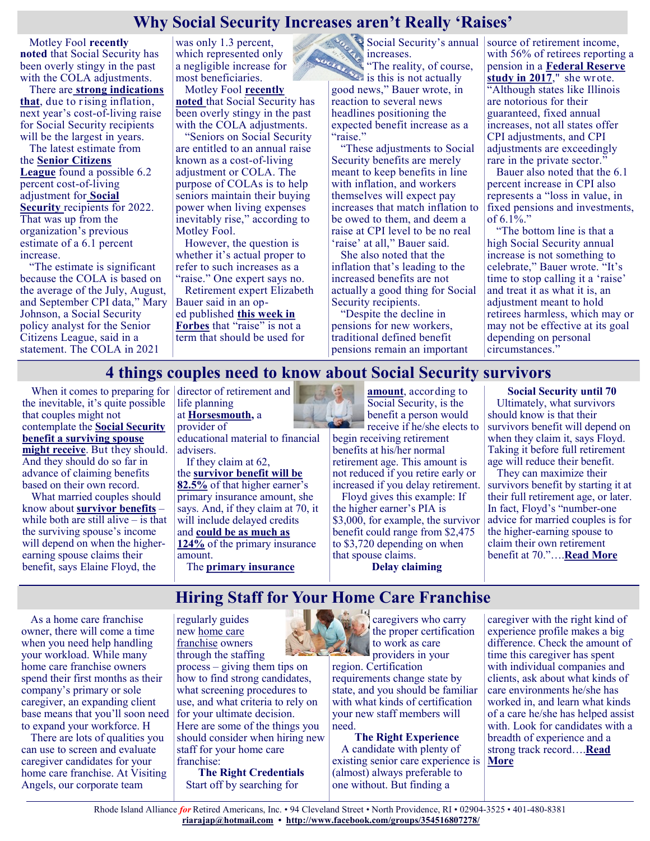#### **Why Social Security Increases aren't Really 'Raises'**

Motley Fool **[recently](https://www.fool.com/retirement/2021/08/11/3-reasons-why-social-security-is-failing-seniors/)  [noted](https://www.fool.com/retirement/2021/08/11/3-reasons-why-social-security-is-failing-seniors/)** that Social Security has been overly stingy in the past with the COLA adjustments.

There are **[strong indications](https://nationalinterest.org/blog/politics/62-percent-boost-social-security-benefits-coming-soon-191814)  [that](https://nationalinterest.org/blog/politics/62-percent-boost-social-security-benefits-coming-soon-191814)**, due to rising inflation, next year's cost-of-living raise for Social Security recipients will be the largest in years.

The latest estimate from the **[Senior Citizens](https://seniorsleague.org/)  [League](https://seniorsleague.org/)** found a possible 6.2 percent cost-of-living adjustment for **[Social](https://nationalinterest.org/blog/politics/social-security-check-three-ways-make-your-benefits-bigger-191606)  [Security](https://nationalinterest.org/blog/politics/social-security-check-three-ways-make-your-benefits-bigger-191606)** recipients for 2022. That was up from the organization's previous estimate of a 6.1 percent increase.

"The estimate is significant because the COLA is based on the average of the July, August, and September CPI data," Mary Johnson, a Social Security policy analyst for the Senior Citizens League, said in a statement. The COLA in 2021

was only 1.3 percent, which represented only a negligible increase for most beneficiaries.

Motley Fool **[recently](https://www.fool.com/retirement/2021/08/11/3-reasons-why-social-security-is-failing-seniors/)  [noted](https://www.fool.com/retirement/2021/08/11/3-reasons-why-social-security-is-failing-seniors/)** that Social Security has been overly stingy in the past with the COLA adjustments.

"Seniors on Social Security are entitled to an annual raise known as a cost-of-living adjustment or COLA. The purpose of COLAs is to help seniors maintain their buying power when living expenses inevitably rise," according to Motley Fool.

However, the question is whether it's actual proper to refer to such increases as a "raise." One expert says no.

Retirement expert Elizabeth Bauer said in an oped published **[this week in](https://www.forbes.com/sites/ebauer/2021/08/18/its-time-to-stop-calling-social-securitys-annual-increase-a-raise/?sh=39e05f76183d)  [Forbes](https://www.forbes.com/sites/ebauer/2021/08/18/its-time-to-stop-calling-social-securitys-annual-increase-a-raise/?sh=39e05f76183d)** that "raise" is not a term that should be used for

increases. "The reality, of course,

 $\sum_{i=1}^{n}$  is this is not actually good news," Bauer wrote, in reaction to several news headlines positioning the expected benefit increase as a "raise."

"These adjustments to Social Security benefits are merely meant to keep benefits in line with inflation, and workers themselves will expect pay increases that match inflation to be owed to them, and deem a raise at CPI level to be no real 'raise' at all," Bauer said.

She also noted that the inflation that's leading to the increased benefits are not actually a good thing for Social Security recipients.

"Despite the decline in pensions for new workers, traditional defined benefit pensions remain an important

Social Security's annual source of retirement income, with 56% of retirees reporting a pension in a **[Federal Reserve](https://retirementincomejournal.com/wp-content/uploads/2018/06/2017-report-economic-well-being-us-households-201805.pdf)  [study in 2017](https://retirementincomejournal.com/wp-content/uploads/2018/06/2017-report-economic-well-being-us-households-201805.pdf)**," she wrote. "Although states like Illinois are notorious for their guaranteed, fixed annual increases, not all states offer CPI adjustments, and CPI adjustments are exceedingly rare in the private sector."

Bauer also noted that the 6.1 percent increase in CPI also represents a "loss in value, in fixed pensions and investments, of 6.1%."

"The bottom line is that a high Social Security annual increase is not something to celebrate," Bauer wrote. "It's time to stop calling it a 'raise' and treat it as what it is, an adjustment meant to hold retirees harmless, which may or may not be effective at its goal depending on personal circumstances."

#### **4 things couples need to know about Social Security survivors**

When it comes to preparing for director of retirement and the inevitable, it's quite possible that couples might not contemplate the **[Social Security](https://www.ssa.gov/pubs/EN-05-10084.pdf)  [benefit a surviving spouse](https://www.ssa.gov/pubs/EN-05-10084.pdf)  [might receive](https://www.ssa.gov/pubs/EN-05-10084.pdf)**. But they should. And they should do so far in advance of claiming benefits based on their own record.

What married couples should know about **[survivor benefits](https://www.ssa.gov/benefits/survivors/ifyou.html)** – while both are still alive – is that the surviving spouse's income will depend on when the higherearning spouse claims their benefit, says Elaine Floyd, the

life planning at **[Horsesmouth,](http://horsemouth.com/)** a provider of

educational material to financial advisers.

If they claim at 62, the **[survivor benefit will be](https://www.ssa.gov/policy/docs/workingpapers/wp92.html)  [82.5%](https://www.ssa.gov/policy/docs/workingpapers/wp92.html)** of that higher earner's primary insurance amount, she says. And, if they claim at 70, it will include delayed credits and **[could be as much as](https://www.ssa.gov/benefits/retirement/planner/1960-delay.html#:~:text=If%20you%20start%20receiving%20retirement,continue%20to%20delay%20taking%20benefits.)  [124%](https://www.ssa.gov/benefits/retirement/planner/1960-delay.html#:~:text=If%20you%20start%20receiving%20retirement,continue%20to%20delay%20taking%20benefits.)** of the primary insurance amount.

The **[primary insurance](https://www.ssa.gov/oact/cola/piaformula.html)** 

**[amount](https://www.ssa.gov/oact/cola/piaformula.html)**, according to Social Security, is the benefit a person would  $\blacksquare$  receive if he/she elects to

begin receiving retirement benefits at his/her normal retirement age. This amount is not reduced if you retire early or increased if you delay retirement. Floyd gives this example: If

the higher earner's PIA is \$3,000, for example, the survivor benefit could range from \$2,475 to \$3,720 depending on when that spouse claims.

**Delay claiming**

#### **Social Security until 70**

Ultimately, what survivors should know is that their survivors benefit will depend on when they claim it, says Floyd. Taking it before full retirement age will reduce their benefit.

They can maximize their survivors benefit by starting it at their full retirement age, or later. In fact, Floyd's "number-one advice for married couples is for the higher-earning spouse to claim their own retirement benefit at 70."….**[Read More](https://www.msn.com/en-us/money/retirement/4-things-couples-need-to-know-about-social-security-survivors-benefits/ar-AANOe0R?ocid=SK2DDHP)**

#### **Hiring Staff for Your Home Care Franchise**

As a home care franchise owner, there will come a time when you need help handling your workload. While many home care franchise owners spend their first months as their company's primary or sole caregiver, an expanding client base means that you'll soon need to expand your workforce. H

There are lots of qualities you can use to screen and evaluate caregiver candidates for your home care franchise. At Visiting Angels, our corporate team

regularly guides new [home care](http://www.livingassistance.com/)  [franchise](http://www.livingassistance.com/) owners through the staffing

process – giving them tips on how to find strong candidates, what screening procedures to use, and what criteria to rely on for your ultimate decision. Here are some of the things you should consider when hiring new staff for your home care franchise:

**The Right Credentials** Start off by searching for



providers in your region. Certification requirements change state by state, and you should be familiar with what kinds of certification your new staff members will need.

**The Right Experience** A candidate with plenty of existing senior care experience is (almost) always preferable to one without. But finding a

caregiver with the right kind of experience profile makes a big difference. Check the amount of time this caregiver has spent with individual companies and clients, ask about what kinds of care environments he/she has worked in, and learn what kinds of a care he/she has helped assist with. Look for candidates with a breadth of experience and a strong track record….**[Read](https://seniornews.com/hiring-staff-home-care-franchise/)  [More](https://seniornews.com/hiring-staff-home-care-franchise/)**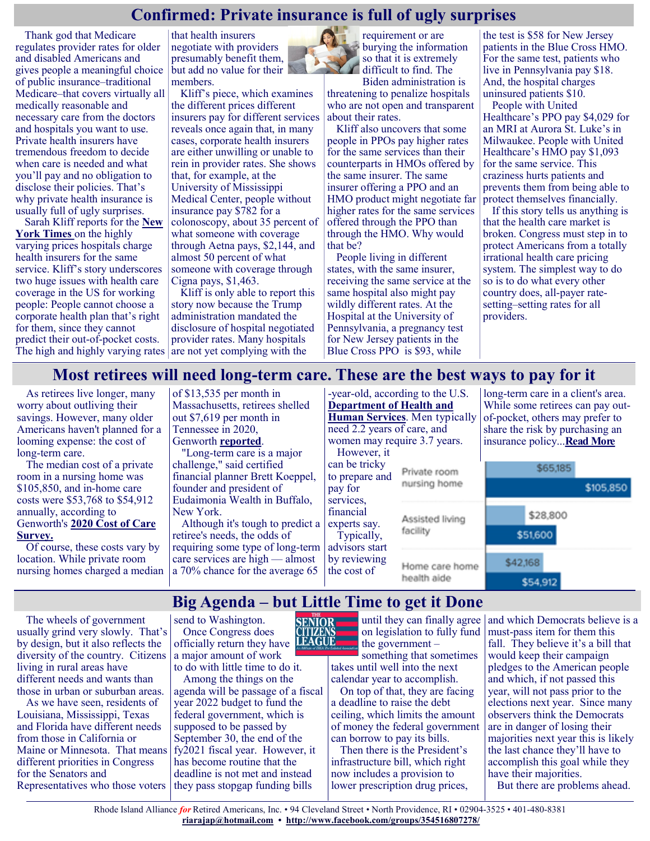#### **Confirmed: Private insurance is full of ugly surprises**

Thank god that Medicare regulates provider rates for older and disabled Americans and gives people a meaningful choice of public insurance–traditional Medicare–that covers virtually all medically reasonable and necessary care from the doctors and hospitals you want to use. Private health insurers have tremendous freedom to decide when care is needed and what you'll pay and no obligation to disclose their policies. That's why private health insurance is usually full of ugly surprises.

Sarah Kliff reports for the **[New](https://www.nytimes.com/interactive/2021/08/22/upshot/hospital-prices.html)  [York Times](https://www.nytimes.com/interactive/2021/08/22/upshot/hospital-prices.html)** on the highly varying prices hospitals charge health insurers for the same service. Kliff's story underscores two huge issues with health care coverage in the US for working people: People cannot choose a corporate health plan that's right for them, since they cannot predict their out-of-pocket costs.

that health insurers negotiate with providers presumably benefit them, but add no value for their members.

Kliff's piece, which examines the different prices different insurers pay for different services reveals once again that, in many cases, corporate health insurers are either unwilling or unable to rein in provider rates. She shows that, for example, at the University of Mississippi Medical Center, people without insurance pay \$782 for a colonoscopy, about 35 percent of what someone with coverage through Aetna pays, \$2,144, and almost 50 percent of what someone with coverage through Cigna pays, \$1,463.

The high and highly varying rates  $\vert$  are not yet complying with the Kliff is only able to report this story now because the Trump administration mandated the disclosure of hospital negotiated provider rates. Many hospitals

requirement or are burying the information so that it is extremely difficult to find. The

Biden administration is threatening to penalize hospitals who are not open and transparent about their rates.

Kliff also uncovers that some people in PPOs pay higher rates for the same services than their counterparts in HMOs offered by the same insurer. The same insurer offering a PPO and an HMO product might negotiate far higher rates for the same services offered through the PPO than through the HMO. Why would that be?

People living in different states, with the same insurer, receiving the same service at the same hospital also might pay wildly different rates. At the Hospital at the University of Pennsylvania, a pregnancy test for New Jersey patients in the Blue Cross PPO is \$93, while

the test is \$58 for New Jersey patients in the Blue Cross HMO. For the same test, patients who live in Pennsylvania pay \$18. And, the hospital charges uninsured patients \$10.

People with United Healthcare's PPO pay \$4,029 for an MRI at Aurora St. Luke's in Milwaukee. People with United Healthcare's HMO pay \$1,093 for the same service. This craziness hurts patients and prevents them from being able to protect themselves financially.

If this story tells us anything is that the health care market is broken. Congress must step in to protect Americans from a totally irrational health care pricing system. The simplest way to do so is to do what every other country does, all-payer ratesetting–setting rates for all providers.

#### **Most retirees will need long-term care. These are the best ways to pay for it**

As retirees live longer, many worry about outliving their savings. However, many older Americans haven't planned for a looming expense: the cost of long-term care.

The median cost of a private room in a nursing home was \$105,850, and in-home care costs were \$53,768 to \$54,912 annually, according to Genworth's **[2020 Cost of Care](https://www.genworth.com/aging-and-you/finances/cost-of-care/cost-of-care-trends-and-insights.html)  [Survey.](https://www.genworth.com/aging-and-you/finances/cost-of-care/cost-of-care-trends-and-insights.html)**

Of course, these costs vary by location. While private room nursing homes charged a median of \$13,535 per month in Massachusetts, retirees shelled out \$7,619 per month in Tennessee in 2020,

Genworth **[reported](https://pro.genworth.com/riiproweb/productinfo/pdf/298701.pdf)**.

"Long-term care is a major challenge," said certified financial planner Brett Koeppel, founder and president of Eudaimonia Wealth in Buffalo, New York.

Although it's tough to predict a retiree's needs, the odds of requiring some type of long-term care services are high — almost a 70% chance for the average 65

-year-old, according to the U.S. **[Department of Health and](https://acl.gov/ltc/basic-needs/how-much-care-will-you-need)  [Human Services](https://acl.gov/ltc/basic-needs/how-much-care-will-you-need)**. Men typically need 2.2 years of care, and women may require 3.7 years. Howeve can be tri to prepare pay for services, financial experts sa Typical advisors by review the cost of

long-term care in a client's area. While some retirees can pay outof-pocket, others may prefer to share the risk by purchasing an insurance policy...**[Read More](https://www.msn.com/en-us/money/retirement/most-retirees-will-need-long-term-care-these-are-the-best-ways-to-pay-for-it/ar-AANMDrj?ocid=SK2DDHP)**

| 'er. it<br>icky<br>e and<br>ay.<br>lly,<br>start<br>ving<br>эf | Private room<br>nursing home<br>Assisted living | \$65,185  |
|----------------------------------------------------------------|-------------------------------------------------|-----------|
|                                                                |                                                 | \$105,850 |
|                                                                |                                                 | \$28,800  |
|                                                                | facility                                        | \$51,600  |
|                                                                | Home care home                                  | \$42,168  |
|                                                                | health aide                                     | \$54,912  |

#### **Big Agenda – but Little Time to get it Done**

The wheels of government usually grind very slowly. That's by design, but it also reflects the diversity of the country. Citizens living in rural areas have different needs and wants than those in urban or suburban areas.

As we have seen, residents of Louisiana, Mississippi, Texas and Florida have different needs from those in California or Maine or Minnesota. That means different priorities in Congress for the Senators and Representatives who those voters

send to Washington. Once Congress does officially return they have

a major amount of work to do with little time to do it.

Among the things on the agenda will be passage of a fiscal year 2022 budget to fund the federal government, which is supposed to be passed by September 30, the end of the fy2021 fiscal year. However, it has become routine that the deadline is not met and instead they pass stopgap funding bills



the government – something that sometimes takes until well into the next

calendar year to accomplish. On top of that, they are facing a deadline to raise the debt ceiling, which limits the amount of money the federal government can borrow to pay its bills.

Then there is the President's infrastructure bill, which right now includes a provision to lower prescription drug prices,

until they can finally agree  $\vert$  and which Democrats believe is a on legislation to fully fund must-pass item for them this fall. They believe it's a bill that would keep their campaign pledges to the American people and which, if not passed this year, will not pass prior to the elections next year. Since many observers think the Democrats are in danger of losing their majorities next year this is likely the last chance they'll have to accomplish this goal while they have their majorities.

But there are problems ahead.

Rhode Island Alliance *for* Retired Americans, Inc. • 94 Cleveland Street • North Providence, RI • 02904-3525 • 401-480-8381 **[riarajap@hotmail.com](mailto:riarajap@hotmail.com) • [http://www.facebook.com/groups/354516807278/](https://www.facebook.com/groups/354516807278/)**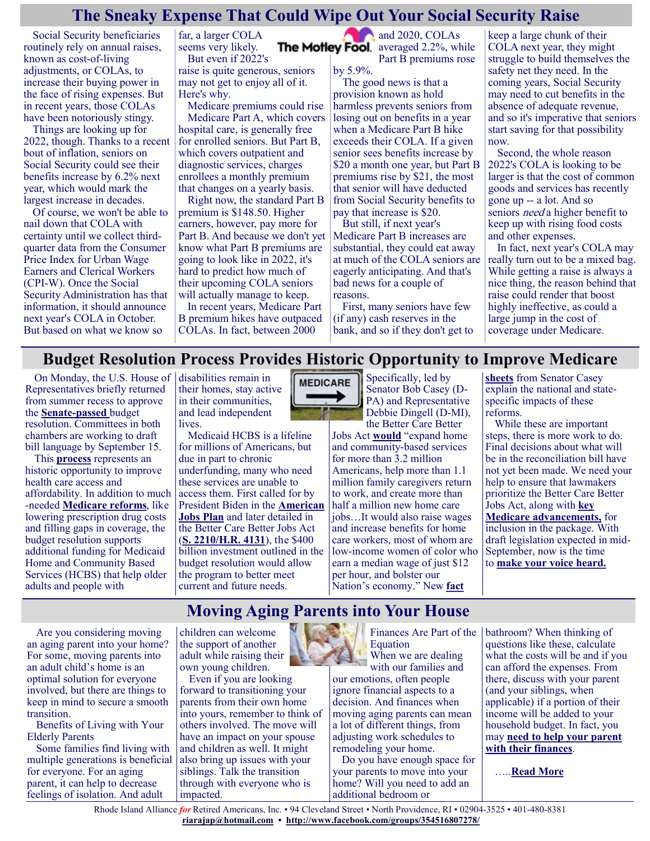## **The Sneaky Expense That Could Wipe Out Your Social Security Raise**

[Social Security](https://www.fool.com/retirement/social-security/?utm_source=msnrss&utm_medium=feed&utm_campaign=article&referring_guid=d2c07128-6d1e-4543-8912-af0cb7f6c123) beneficiaries routinely rely on annual raises, known as cost-of-living adjustments, or COLAs, to increase their buying power in the face of rising expenses. But in recent years, those COLAs have been notoriously stingy.

Things are looking up for 2022, though. Thanks to a recent bout of inflation, seniors on Social Security could see their benefits [increase by 6.2%](https://www.fool.com/retirement/2021/08/16/seniors-could-get-a-62-social-security-raise-in-20/?utm_source=msnrss&utm_medium=feed&utm_campaign=article&referring_guid=d2c07128-6d1e-4543-8912-af0cb7f6c123) next year, which would mark the largest increase in decades.

Of course, we won't be able to nail down that COLA with certainty until we collect thirdquarter data from the Consumer Price Index for Urban Wage Earners and Clerical Workers (CPI-W). Once the Social Security Administration has that information, it should announce next year's COLA in October. But based on what we know so

far, a larger COLA seems very likely.

But even if 2022's raise is quite generous, seniors may not get to enjoy all of it. Here's why.

Medicare premiums could rise Medicare Part A, which covers hospital care, is generally free for enrolled seniors. But Part B, which covers outpatient and diagnostic services, charges

enrollees a monthly premium

that changes on a yearly basis. Right now, the standard Part B premium is \$148.50. Higher earners, however, pay more for Part B. And because we don't yet know what Part B premiums are going to look like in 2022, it's hard to predict how much of their upcoming COLA seniors will actually manage to keep.

In recent years, Medicare Part B premium hikes have outpaced COLAs. In fact, between 2000

and 2020, COLAs The Motley Fool. averaged 2.2%, while Part B premiums rose by 5.9%.

The good news is that a provision known as hold harmless prevents seniors from losing out on benefits in a year when a Medicare Part B hike exceeds their COLA. If a given senior sees benefits increase by \$20 a month one year, but Part B premiums rise by \$21, the most that senior will have deducted from Social Security benefits to pay that increase is \$20.

But still, if next year's Medicare Part B increases are substantial, they could eat away at much of the COLA seniors are eagerly anticipating. And that's bad news for a couple of reasons.

First, many seniors have few (if any) cash reserves in the bank, and so if they don't get to keep a large chunk of their COLA next year, they might struggle to build themselves the safety net they need. In the coming years, Social Security may need to cut benefits in the absence of adequate revenue, and so it's imperative that seniors start saving for that possibility now.

Second, the whole reason 2022's COLA is looking to be larger is that the cost of common goods and services has recently gone up -- a lot. And so seniors *need* a higher benefit to keep up with rising food costs and other expenses.

In fact, next year's COLA may really turn out to be a mixed bag. While getting a raise is always a nice thing, the reason behind that raise could render that boost highly ineffective, as could a large jump in the cost of coverage under Medicare.

#### **Budget Resolution Process Provides Historic Opportunity to Improve Medicare**

On Monday, the U.S. House of disabilities remain in Representatives briefly returned from summer recess to approve the **[Senate](https://www.medicarerights.org/medicare-watch/2021/08/12/senate-lays-groundwork-for-legislation-that-includes-major-health-care-improvements)-passed** budget resolution. Committees in both chambers are working to draft bill language by September 15.

This **[process](https://budget.house.gov/publications/fact-sheet/budget-reconciliation-basics)** represents an historic opportunity to improve health care access and affordability. In addition to much -needed **[Medicare reforms](https://www.medicarerights.org/medicare-watch/2021/07/22/medicare-rights-urges-congress-to-prioritize-critical-medicare-updates)**, like lowering prescription drug costs and filling gaps in coverage, the budget resolution supports additional funding for Medicaid Home and Community Based Services (HCBS) that help older adults and people with

their homes, stay active in their communities, and lead independent **lives** 

Medicaid HCBS is a lifeline for millions of Americans, but due in part to chronic underfunding, many who need these services are unable to access them. First called for by President Biden in the **[American](https://www.whitehouse.gov/briefing-room/statements-releases/2021/03/31/fact-sheet-the-american-jobs-plan/)  [Jobs Plan](https://www.whitehouse.gov/briefing-room/statements-releases/2021/03/31/fact-sheet-the-american-jobs-plan/)** and later detailed in the Better Care Better Jobs Act (**[S. 2210/](https://www.congress.gov/bill/117th-congress/senate-bill/2210/related-bills)[H.R. 4131](https://www.congress.gov/bill/117th-congress/house-bill/4131)**), the \$400 billion investment outlined in the budget resolution would allow the program to better meet current and future needs.



Specifically, led by Senator Bob Casey (D-PA) and Representative Debbie Dingell (D-MI), the Better Care Better

Jobs Act **[would](https://www.aging.senate.gov/press-releases/support-grows-for-the-better-care-better-jobs-act)** "expand home and community-based services for more than 3.2 million Americans, help more than 1.1 million family caregivers return to work, and create more than half a million new home care jobs…It would also raise wages and increase benefits for home care workers, most of whom are low-income women of color who earn a median wage of just \$12 per hour, and bolster our Nation's economy." New **[fact](https://www.aging.senate.gov/press-releases/better-care-better-jobs-act-state-by-state-fact-sheets)** 

**[sheets](https://www.aging.senate.gov/press-releases/better-care-better-jobs-act-state-by-state-fact-sheets)** from Senator Casey explain the national and statespecific impacts of these reforms.

While these are important steps, there is more work to do. Final decisions about what will be in the reconciliation bill have not yet been made. We need your help to ensure that lawmakers prioritize the Better Care Better Jobs Act, along with **[key](https://www.medicarerights.org/medicare-watch/2021/07/22/medicare-rights-urges-congress-to-prioritize-critical-medicare-updates)  [Medicare advancements,](https://www.medicarerights.org/medicare-watch/2021/07/22/medicare-rights-urges-congress-to-prioritize-critical-medicare-updates)** for inclusion in the package. With draft legislation expected in mid-September, now is the time to **[make your voice heard.](https://actionnetwork.org/letters/act-today-tell-congress-to-strengthen-medicare/?fbclid=IwAR0B5j36qDvZkUOYKSJyFH-AKxnCKqpKk7ECeDPzT_wdx4i4QeDxYHqnec4)**

#### **Moving Aging Parents into Your House**

Are you considering moving an aging parent into your home? For some, moving parents into an adult child's home is an optimal solution for everyone involved, but there are things to keep in mind to secure a smooth transition.

Benefits of Living with Your Elderly Parents

Some families find living with multiple generations is beneficial for everyone. For an aging parent, it can help to decrease feelings of isolation. And adult

children can welcome the support of another adult while raising their own young children.

Even if you are looking forward to transitioning your parents from their own home into yours, remember to think of others involved. The move will have an impact on your spouse and children as well. It might also bring up issues with your siblings. Talk the transition through with everyone who is impacted.



with our families and our emotions, often people ignore financial aspects to a decision. And finances when moving aging parents can mean a lot of different things, from adjusting work schedules to remodeling your home.

Do you have enough space for your parents to move into your home? Will you need to add an additional bedroom or

bathroom? When thinking of questions like these, calculate what the costs will be and if you can afford the expenses. From there, discuss with your parent (and your siblings, when applicable) if a portion of their income will be added to your household budget. In fact, you may **[need to help your parent](https://money.usnews.com/money/personal-finance/articles/2013/11/15/5-tips-for-helping-an-elderly-parent-or-relative-pay-bills)  [with their finances](https://money.usnews.com/money/personal-finance/articles/2013/11/15/5-tips-for-helping-an-elderly-parent-or-relative-pay-bills)**.

…..**[Read More](https://seniornews.com/moving-aging-parents-into-your-house/)**

Rhode Island Alliance *for* Retired Americans, Inc. • 94 Cleveland Street • North Providence, RI • 02904-3525 • 401-480-8381 **[riarajap@hotmail.com](mailto:riarajap@hotmail.com) • [http://www.facebook.com/groups/354516807278/](https://www.facebook.com/groups/354516807278/)**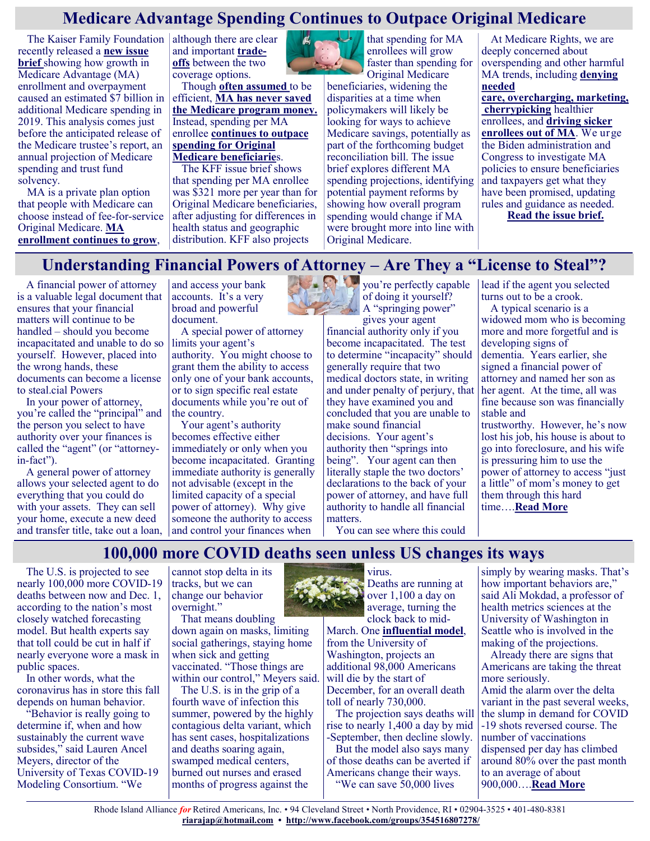#### **Medicare Advantage Spending Continues to Outpace Original Medicare**

The Kaiser Family Foundation recently released a **[new issue](https://www.kff.org/medicare/issue-brief/higher-and-faster-growing-spending-per-medicare-advantage-enrollee-adds-to-medicares-solvency-and-affordability-challenges/)  [brief](https://www.kff.org/medicare/issue-brief/higher-and-faster-growing-spending-per-medicare-advantage-enrollee-adds-to-medicares-solvency-and-affordability-challenges/)** showing how growth in Medicare Advantage (MA) enrollment and overpayment caused an estimated \$7 billion in additional Medicare spending in 2019. This analysis comes just before the anticipated release of the Medicare trustee's report, an annual projection of Medicare spending and trust fund solvency.

MA is a private plan option that people with Medicare can choose instead of fee-for-service Original Medicare. **[MA](https://www.kff.org/medicare/issue-brief/a-dozen-facts-about-medicare-advantage-in-2020/)  [enrollment continues to grow](https://www.kff.org/medicare/issue-brief/a-dozen-facts-about-medicare-advantage-in-2020/)**,

although there are clear and important **[trade](https://www.medicareinteractive.org/get-answers/medicare-basics/medicare-coverage-overview/choosing-original-medicare-medicare-advantage)[offs](https://www.medicareinteractive.org/get-answers/medicare-basics/medicare-coverage-overview/choosing-original-medicare-medicare-advantage)** between the two coverage options.

Though **[often assumed](http://www.medpac.gov/docs/default-source/reports/mar20_medpac_ch13_sec.pdf?sfvrsn=0)** to be efficient, **[MA has never saved](http://medpac.gov/docs/default-source/meeting-materials/ma_benchmarks_medpac_oct2020.pdf?sfvrsn=0#page=3)  [the Medicare program money.](http://medpac.gov/docs/default-source/meeting-materials/ma_benchmarks_medpac_oct2020.pdf?sfvrsn=0#page=3)** Instead, spending per MA enrollee **[continues to outpace](https://www.medicarerights.org/medicare-watch/2021/03/11/medpac-reiterates-position-that-ma-plans-cost-more-responds-to-criticism)  [spending for Original](https://www.medicarerights.org/medicare-watch/2021/03/11/medpac-reiterates-position-that-ma-plans-cost-more-responds-to-criticism)  [Medicare beneficiarie](https://www.medicarerights.org/medicare-watch/2021/03/11/medpac-reiterates-position-that-ma-plans-cost-more-responds-to-criticism)**s.

The KFF issue brief shows that spending per MA enrollee was \$321 more per year than for Original Medicare beneficiaries, after adjusting for differences in health status and geographic distribution. KFF also projects



that spending for MA enrollees will grow faster than spending for

Original Medicare beneficiaries, widening the disparities at a time when policymakers will likely be looking for ways to achieve Medicare savings, potentially as part of the forthcoming budget reconciliation bill. The issue brief explores different MA spending projections, identifying potential payment reforms by showing how overall program spending would change if MA were brought more into line with Original Medicare.

At Medicare Rights, we are deeply concerned about overspending and other harmful MA trends, including **[denying](https://oig.hhs.gov/reports-and-publications/workplan/summary/wp-summary-0000299.asp)  [needed](https://oig.hhs.gov/reports-and-publications/workplan/summary/wp-summary-0000299.asp)** 

**[care,](https://oig.hhs.gov/reports-and-publications/workplan/summary/wp-summary-0000299.asp) [overcharging,](https://www.forbes.com/sites/erikakelton/2015/06/17/the-risk-adjustment-scoring-scam-a-medicare-dis-advantage/?sh=6e6d71233d45) marketing, [cherrypicking](https://www.fiercehealthcare.com/payer/are-medicare-advantage-plans-cherry-picking-healthier-members)** healthier enrollees, and **[driving sicker](https://www.medicarerights.org/medicare-watch/2021/08/05/medicare-advantage-disenrollment-in-final-year-of-life-continues-troubling-pattern)  [enrollees out of MA](https://www.medicarerights.org/medicare-watch/2021/08/05/medicare-advantage-disenrollment-in-final-year-of-life-continues-troubling-pattern)**. We urge the Biden administration and Congress to investigate MA policies to ensure beneficiaries and taxpayers get what they have been promised, updating rules and guidance as needed. **[Read the issue brief.](https://www.kff.org/medicare/issue-brief/higher-and-faster-growing-spending-per-medicare-advantage-enrollee-adds-to-medicares-solvency-and-affordability-challenges/)**

#### **Understanding Financial Powers of Attorney – Are They a "License to Steal"?**

A financial power of attorney is a valuable legal document that ensures that your financial matters will continue to be handled – should you become incapacitated and unable to do so yourself. However, placed into the wrong hands, these documents can become a license to steal.cial Powers

In your power of attorney, you're called the "principal" and the person you select to have authority over your finances is called the "agent" (or "attorneyin-fact").

A general power of attorney allows your selected agent to do everything that you could do with your assets. They can sell your home, execute a new deed and transfer title, take out a loan,

and access your bank accounts. It's a very broad and powerful document.

A special power of attorney limits your agent's authority. You might choose to grant them the ability to access only one of your bank accounts,

or to sign specific real estate documents while you're out of the country. Your agent's authority

becomes effective either immediately or only when you become incapacitated. Granting immediate authority is generally not advisable (except in the limited capacity of a special power of attorney). Why give someone the authority to access and control your finances when



you're perfectly capable of doing it yourself? A "springing power" gives your agent

financial authority only if you become incapacitated. The test to determine "incapacity" should generally require that two medical doctors state, in writing and under penalty of perjury, that they have examined you and concluded that you are unable to make sound financial decisions. Your agent's authority then "springs into being". Your agent can then literally staple the two doctors' declarations to the back of your power of attorney, and have full authority to handle all financial matters.

lead if the agent you selected turns out to be a crook.

A typical scenario is a widowed mom who is becoming more and more forgetful and is developing signs of dementia. Years earlier, she signed a financial power of attorney and named her son as her agent. At the time, all was fine because son was financially stable and trustworthy. However, he's now lost his job, his house is about to go into foreclosure, and his wife is pressuring him to use the power of attorney to access "just a little" of mom's money to get them through this hard time….**[Read More](https://seniornews.com/understanding-financial-powers-of-attorney-are-they-a-license-to-steal/)**

You can see where this could

#### **100,000 more COVID deaths seen unless US changes its ways**

The U.S. is projected to see nearly 100,000 more COVID-19 deaths between now and Dec. 1, according to the nation's most closely watched forecasting model. But health experts say that toll could be cut in half if nearly everyone wore a mask in public spaces.

In other words, what the coronavirus has in store this fall depends on human behavior.

"Behavior is really going to determine if, when and how sustainably the current wave subsides," said Lauren Ancel Meyers, director of the University of Texas COVID-19 Modeling Consortium. "We

cannot stop delta in its tracks, but we can change our behavior overnight."

That means doubling down again on masks, limiting social gatherings, staying home when sick and getting vaccinated. "Those things are within our control," Meyers said.

The U.S. is in the grip of a fourth wave of infection this summer, powered by the highly contagious delta variant, which has sent cases, hospitalizations and deaths soaring again, swamped medical centers, burned out nurses and erased months of progress against the



virus. Deaths are running at over 1,100 a day on average, turning the clock back to mid-

March. One **[influential model](https://covid19.healthdata.org/united-states-of-america?view=social-distancing&tab=trend)**, from the University of Washington, projects an additional 98,000 Americans will die by the start of December, for an overall death toll of nearly 730,000.

The projection says deaths will rise to nearly 1,400 a day by mid -September, then decline slowly.

But the model also says many of those deaths can be averted if Americans change their ways. "We can save 50,000 lives

simply by wearing masks. That's how important behaviors are," said Ali Mokdad, a professor of health metrics sciences at the University of Washington in Seattle who is involved in the making of the projections.

Already there are signs that Americans are taking the threat more seriously. Amid the alarm over the delta variant in the past several weeks, the slump in demand for COVID -19 shots reversed course. The number of vaccinations dispensed per day has climbed around 80% over the past month to an average of about 900,000….**[Read More](https://apnews.com/article/science-health-coronavirus-pandemic-6df4471c64e40e7e319ae368d4c1db0b)**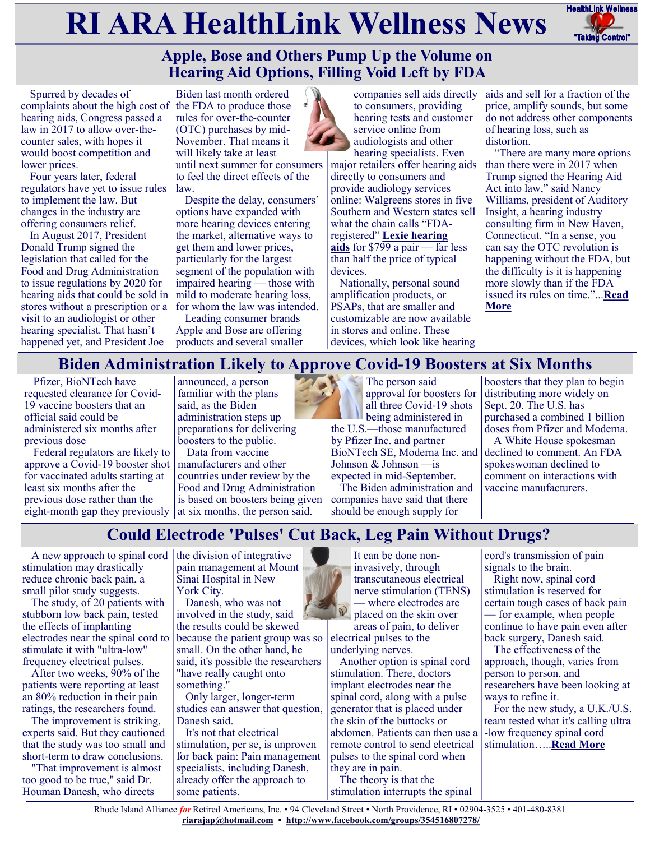# **RI ARA HealthLink Wellness News** FreathLink Wellness



### **Apple, Bose and Others Pump Up the Volume on Hearing Aid Options, Filling Void Left by FDA**

Spurred by decades of complaints about the high cost of the FDA to produce those hearing aids, Congress passed a law in 2017 to allow over-thecounter sales, with hopes it would boost competition and lower prices.

Four years later, federal regulators have yet to issue rules to implement the law. But changes in the industry are offering consumers relief.

In August 2017, President Donald Trump signed the legislation that called for the Food and Drug Administration to issue regulations by 2020 for hearing aids that could be sold in stores without a prescription or a visit to an audiologist or other hearing specialist. That hasn't happened yet, and President Joe

Biden last month ordered rules for over-the-counter (OTC) purchases by mid-November. That means it will likely take at least

until next summer for consumers to feel the direct effects of the law.

Despite the delay, consumers' options have expanded with more hearing devices entering the market, alternative ways to get them and lower prices, particularly for the largest segment of the population with impaired hearing — those with mild to moderate hearing loss, for whom the law was intended.

Leading consumer brands Apple and Bose are offering products and several smaller

companies sell aids directly to consumers, providing hearing tests and customer service online from audiologists and other

hearing specialists. Even major retailers offer hearing aids directly to consumers and provide audiology services online: Walgreens stores in five Southern and Western states sell what the chain calls "FDAregistered" **[Lexie hearing](https://lexiehearing.com/us/library/lexie-hearing-makes-digital-hearing-aids-available-for-sale-at-walgreens-stores)  [aids](https://lexiehearing.com/us/library/lexie-hearing-makes-digital-hearing-aids-available-for-sale-at-walgreens-stores)** for \$799 a pair — far less than half the price of typical devices.

Nationally, personal sound amplification products, or PSAPs, that are smaller and customizable are now available in stores and online. These devices, which look like hearing aids and sell for a fraction of the price, amplify sounds, but some do not address other components of hearing loss, such as distortion.

"There are many more options than there were in 2017 when Trump signed the Hearing Aid Act into law," said Nancy Williams, president of Auditory Insight, a hearing industry consulting firm in New Haven, Connecticut. "In a sense, you can say the OTC revolution is happening without the FDA, but the difficulty is it is happening more slowly than if the FDA issued its rules on time."...**[Read](https://khn.org/news/article/hearing-aids-over-the-counter-apple-bose-fda-rule-delayed/)  [More](https://khn.org/news/article/hearing-aids-over-the-counter-apple-bose-fda-rule-delayed/)**

#### **Biden Administration Likely to Approve Covid-19 Boosters at Six Months**

Pfizer, BioNTech have requested clearance for Covid-19 vaccine boosters that an official said could be administered six months after previous dose

Federal regulators are likely to approve a Covid-19 booster shot for vaccinated adults starting at least six months after the previous dose rather than the eight-month gap they previously at six months, the person said.

[announced,](https://www.wsj.com/articles/covid-19-third-shot-booster-11623421703?mod=article_inline) a person familiar with the plans said, as the Biden administration steps up preparations for delivering boosters to the public.

Data from vaccine manufacturers and other countries under review by the Food and Drug Administration is based on boosters being given

The person said approval for boosters for all three Covid-19 shots being administered in the U.S.—those manufactured by Pfizer Inc. and partner BioNTech SE, Moderna Inc. and Johnson & Johnson —is expected in mid-September.

The Biden administration and companies have said that there should be enough supply for

boosters that they plan to begin distributing more widely on Sept. 20. The U.S. has purchased a combined 1 billion doses from Pfizer and Moderna.

A White House spokesman declined to comment. An FDA spokeswoman declined to comment on interactions with vaccine manufacturers.

#### **Could Electrode 'Pulses' Cut Back, Leg Pain Without Drugs?**

stimulation may drastically reduce chronic back pain, a small pilot study suggests.

The study, of 20 patients with stubborn low back pain, tested the effects of implanting electrodes near the spinal cord to stimulate it with "ultra-low" frequency electrical pulses.

After two weeks, 90% of the patients were reporting at least an 80% reduction in their pain ratings, the researchers found.

The improvement is striking, experts said. But they cautioned that the study was too small and short-term to draw conclusions.

"That improvement is almost too good to be true," said Dr. Houman Danesh, who directs

A new approach to spinal cord the division of integrative pain management at Mount Sinai Hospital in New York City.

Danesh, who was not involved in the study, said the results could be skewed because the patient group was so small. On the other hand, he said, it's possible the researchers "have really caught onto something."

Only larger, longer-term studies can answer that question, Danesh said.

It's not that electrical stimulation, per se, is unproven for back pain: Pain management specialists, including Danesh, already offer the approach to some patients.



Another option is spinal cord stimulation. There, doctors implant electrodes near the spinal cord, along with a pulse generator that is placed under the skin of the buttocks or abdomen. Patients can then use a remote control to send electrical pulses to the spinal cord when they are in pain.

The theory is that the stimulation interrupts the spinal cord's transmission of pain signals to the brain.

Right now, spinal cord stimulation is reserved for certain tough cases of back pain — for example, when people continue to have pain even after back surgery, Danesh said.

The effectiveness of the approach, though, varies from person to person, and researchers have been looking at ways to refine it.

For the new study, a U.K./U.S. team tested what it's calling ultra -low frequency spinal cord stimulation…..**[Read More](https://consumer.healthday.com/8-26-could-pulses-cut-back-leg-pain-without-drugs-2654760796.html)**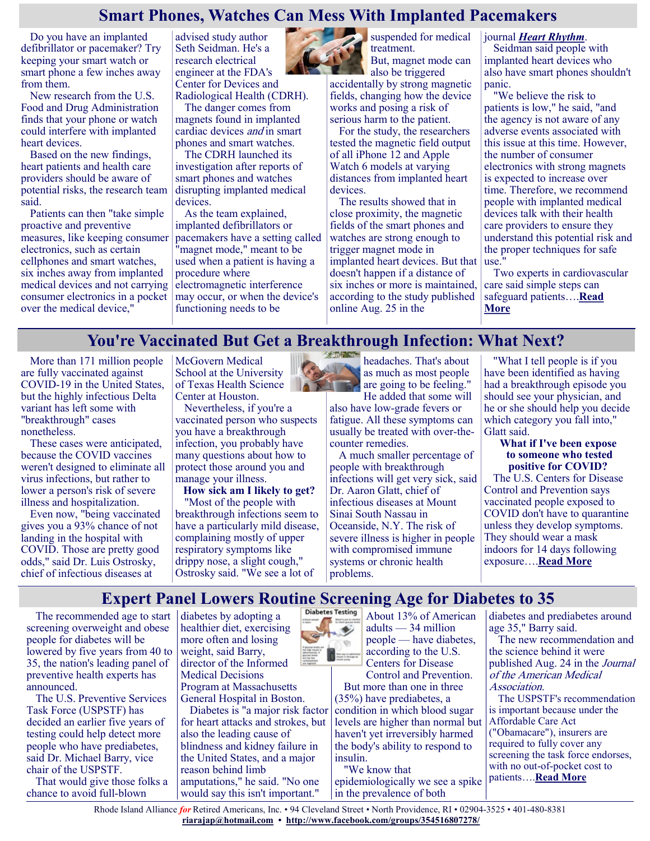#### **Smart Phones, Watches Can Mess With Implanted Pacemakers**

Do you have an implanted defibrillator or pacemaker? Try keeping your smart watch or smart phone a few inches away from them.

New research from the U.S. Food and Drug Administration finds that your phone or watch could interfere with implanted heart devices.

Based on the new findings, heart patients and health care providers should be aware of potential risks, the research team said.

Patients can then "take simple proactive and preventive measures, like keeping consumer electronics, such as certain cellphones and smart watches, six inches away from implanted medical devices and not carrying consumer electronics in a pocket over the medical device,"

advised study author Seth Seidman. He's a research electrical engineer at the FDA's Center for Devices and Radiological Health (CDRH).

The danger comes from magnets found in implanted cardiac devices and in smart phones and smart watches.

The CDRH launched its investigation after reports of smart phones and watches disrupting implanted medical devices.

As the team explained, implanted defibrillators or pacemakers have a setting called "magnet mode," meant to be used when a patient is having a procedure where electromagnetic interference may occur, or when the device's functioning needs to be



suspended for medical treatment. But, magnet mode can

also be triggered accidentally by strong magnetic fields, changing how the device works and posing a risk of serious harm to the patient.

For the study, the researchers tested the magnetic field output of all iPhone 12 and Apple Watch 6 models at varying distances from implanted heart devices.

The results showed that in close proximity, the magnetic fields of the smart phones and watches are strong enough to trigger magnet mode in implanted heart devices. But that doesn't happen if a distance of six inches or more is maintained, according to the study published online Aug. 25 in the

#### journal *[Heart Rhythm](https://www.heartrhythmjournal.com/article/S1547-5271(21)01859-2/fulltext)*.

Seidman said people with implanted heart devices who also have smart phones shouldn't panic.

"We believe the risk to patients is low," he said, "and the agency is not aware of any adverse events associated with this issue at this time. However, the number of consumer electronics with strong magnets is expected to increase over time. Therefore, we recommend people with implanted medical devices talk with their health care providers to ensure they understand this potential risk and the proper techniques for safe use."

Two experts in cardiovascular care said simple steps can safeguard patients….**[Read](https://consumer.healthday.com/sb-8-26-smart-phones-watches-can-mess-with-implanted-pacemakers-2654762437.html)  [More](https://consumer.healthday.com/sb-8-26-smart-phones-watches-can-mess-with-implanted-pacemakers-2654762437.html)**

#### **You're Vaccinated But Get a Breakthrough Infection: What Next?**

More than 171 million people are fully vaccinated against COVID-19 in the United States, but the highly infectious Delta variant has left some with "breakthrough" cases nonetheless.

These cases were anticipated, because the COVID vaccines weren't designed to eliminate all virus infections, but rather to lower a person's risk of severe illness and hospitalization.

Even now, "being vaccinated gives you a 93% chance of not landing in the hospital with COVID. Those are pretty good odds," said Dr. Luis Ostrosky, chief of infectious diseases at

McGovern Medical School at the University of Texas Health Science Center at Houston.

Nevertheless, if you're a vaccinated person who suspects you have a breakthrough infection, you probably have many questions about how to protect those around you and manage your illness.

**How sick am I likely to get?** "Most of the people with breakthrough infections seem to have a particularly mild disease, complaining mostly of upper respiratory symptoms like drippy nose, a slight cough," Ostrosky said. "We see a lot of



headaches. That's about as much as most people are going to be feeling." He added that some will

also have low-grade fevers or fatigue. All these symptoms can usually be treated with over-thecounter remedies.

A much smaller percentage of people with breakthrough infections will get very sick, said Dr. Aaron Glatt, chief of infectious diseases at Mount Sinai South Nassau in Oceanside, N.Y. The risk of severe illness is higher in people with compromised immune systems or chronic health problems.

"What I tell people is if you have been identified as having had a breakthrough episode you should see your physician, and he or she should help you decide which category you fall into," Glatt said.

#### **What if I've been expose to someone who tested positive for COVID?**

The U.S. Centers for Disease Control and Prevention says vaccinated people exposed to COVID don't have to quarantine unless they develop symptoms. They should wear a mask indoors for 14 days following exposure….**[Read More](https://consumer.healthday.com/8-26-you-re-vaccinated-but-get-a-breakthrough-infection-what-next-2654761490.html)**

## **Expert Panel Lowers Routine Screening Age for Diabetes to 35**

The recommended age to start diabetes by adopting a screening overweight and obese people for diabetes will be lowered by five years from 40 to 35, the nation's leading panel of preventive health experts has announced.

The U.S. Preventive Services Task Force (USPSTF) has decided an earlier five years of testing could help detect more people who have prediabetes, said Dr. Michael Barry, vice chair of the USPSTF.

That would give those folks a chance to avoid full-blown

healthier diet, exercising more often and losing weight, said Barry, director of the Informed Medical Decisions Program at Massachusetts General Hospital in Boston.

Diabetes is "a major risk factor for heart attacks and strokes, but also the leading cause of blindness and kidney failure in the United States, and a major reason behind limb amputations," he said. "No one would say this isn't important."



About 13% of American adults — 34 million people — have diabetes, according to the U.S. Centers for Disease

Control and Prevention. But more than one in three (35%) have prediabetes, a condition in which blood sugar levels are higher than normal but haven't yet irreversibly harmed the body's ability to respond to insulin.

"We know that epidemiologically we see a spike in the prevalence of both

diabetes and prediabetes around age 35," Barry said.

The new recommendation and the science behind it were published Aug. 24 in the *Journal* of the American Medical Association.

The USPSTF's recommendation is important because under the Affordable Care Act ("Obamacare"), insurers are required to fully cover any screening the task force endorses, with no out-of-pocket cost to patients….**[Read More](https://www.usnews.com/news/health-news/articles/2021-08-24/expert-panel-lowers-routine-screening-age-for-diabetes-to-35)**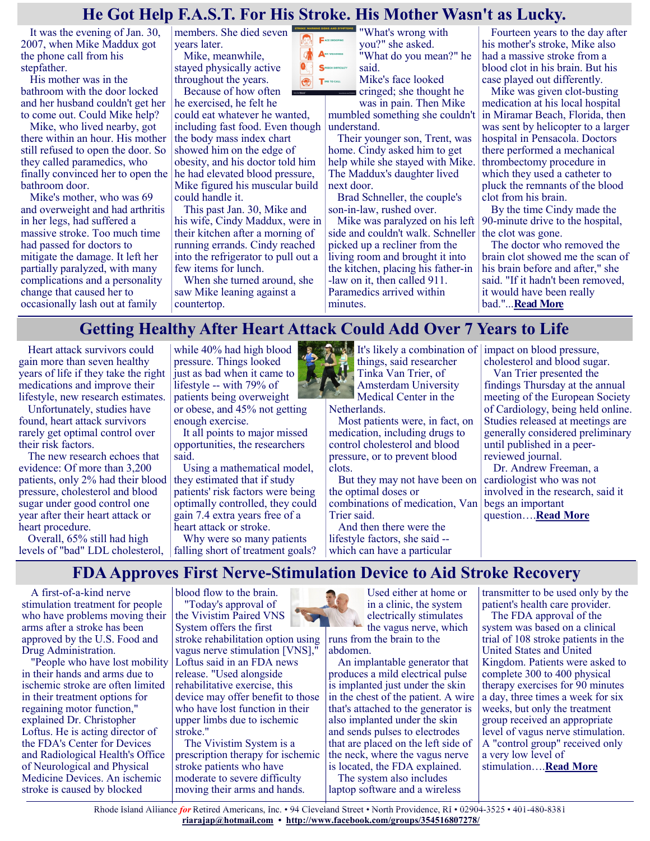## **He Got Help F.A.S.T. For His Stroke. His Mother Wasn't as Lucky.**

It was the evening of Jan. 30, 2007, when Mike Maddux got the phone call from his stepfather.

His mother was in the bathroom with the door locked and her husband couldn't get her to come out. Could Mike help?

Mike, who lived nearby, got there within an hour. His mother still refused to open the door. So they called paramedics, who finally convinced her to open the bathroom door.

Mike's mother, who was 69 and overweight and had arthritis in her legs, had suffered a massive stroke. Too much time had passed for doctors to mitigate the damage. It left her partially paralyzed, with many complications and a personality change that caused her to occasionally lash out at family

members. She died seven years later. Mike, meanwhile, stayed physically active

throughout the years. Because of how often he exercised, he felt he

could eat whatever he wanted, including fast food. Even though the body mass index chart showed him on the edge of obesity, and his doctor told him he had elevated blood pressure, Mike figured his muscular build could handle it.

This past Jan. 30, Mike and his wife, Cindy Maddux, were in their kitchen after a morning of running errands. Cindy reached into the refrigerator to pull out a few items for lunch.

When she turned around, she saw Mike leaning against a countertop.

 $\mathbf{s}$ ME TO CALL  $\bigcirc$ 

**"What's wrong with** you?" she asked. "What do you mean?" he said.

> Mike's face looked cringed; she thought he

was in pain. Then Mike mumbled something she couldn't understand.

Their younger son, Trent, was home. Cindy asked him to get help while she stayed with Mike. The Maddux's daughter lived next door.

Brad Schneller, the couple's son-in-law, rushed over.

Mike was paralyzed on his left side and couldn't walk. Schneller picked up a recliner from the living room and brought it into the kitchen, placing his father-in -law on it, then called 911. Paramedics arrived within minutes.

Fourteen years to the day after his mother's stroke, Mike also had a massive stroke from a blood clot in his brain. But his case played out differently.

Mike was given clot-busting medication at his local hospital in Miramar Beach, Florida, then was sent by helicopter to a larger hospital in Pensacola. Doctors there performed a mechanical thrombectomy procedure in which they used a catheter to pluck the remnants of the blood clot from his brain.

By the time Cindy made the 90-minute drive to the hospital, the clot was gone.

The doctor who removed the brain clot showed me the scan of his brain before and after," she said. "If it hadn't been removed, it would have been really bad."...**[Read More](https://consumer.healthday.com/aha-news-he-got-help-f-a-s-t-for-his-stroke-his-mother-wasn-t-as-lucky-2654800788.html)**

#### **Getting Healthy After Heart Attack Could Add Over 7 Years to Life**

Heart attack survivors could gain more than seven healthy years of life if they take the right medications and improve their lifestyle, new research estimates.

Unfortunately, studies have found, heart attack survivors rarely get optimal control over their risk factors.

The new research echoes that evidence: Of more than 3,200 patients, only 2% had their blood pressure, cholesterol and blood sugar under good control one year after their heart attack or heart procedure.

Overall, 65% still had high levels of "bad" LDL cholesterol, falling short of treatment goals?

while 40% had high blood pressure. Things looked just as bad when it came to lifestyle -- with 79% of patients being overweight or obese, and 45% not getting

enough exercise. It all points to major missed

opportunities, the researchers said.

Using a mathematical model, they estimated that if study patients' risk factors were being optimally controlled, they could gain 7.4 extra years free of a heart attack or stroke.

Why were so many patients

It's likely a combination of things, said researcher Tinka Van Trier, of Amsterdam University Medical Center in the Netherlands.

Most patients were, in fact, on medication, including drugs to control cholesterol and blood pressure, or to prevent blood clots.

But they may not have been on the optimal doses or combinations of medication, Van Trier said.

And then there were the lifestyle factors, she said - which can have a particular impact on blood pressure, cholesterol and blood sugar.

Van Trier presented the findings Thursday at the annual meeting of the European Society of Cardiology, being held online. Studies released at meetings are generally considered preliminary until published in a peerreviewed journal.

Dr. Andrew Freeman, a cardiologist who was not involved in the research, said it begs an important question….**[Read More](https://consumer.healthday.com/8-27-getting-healthy-after-heart-attack-could-add-almost-8-years-to-your-life-2654771508.html)**

**FDA Approves First Nerve-Stimulation Device to Aid Stroke Recovery**

A first-of-a-kind nerve stimulation treatment for people who have problems moving their arms after a stroke has been approved by the U.S. Food and Drug Administration.

"People who have lost mobility in their hands and arms due to ischemic stroke are often limited in their treatment options for regaining motor function," explained Dr. Christopher Loftus. He is acting director of the FDA's Center for Devices and Radiological Health's Office of Neurological and Physical Medicine Devices. An ischemic stroke is caused by blocked

blood flow to the brain. "Today's approval of the Vivistim Paired VNS System offers the first stroke rehabilitation option using vagus nerve stimulation [VNS]," Loftus said in an FDA news release. "Used alongside rehabilitative exercise, this device may offer benefit to those who have lost function in their upper limbs due to ischemic stroke."

The Vivistim System is a prescription therapy for ischemic stroke patients who have moderate to severe difficulty moving their arms and hands.



Used either at home or in a clinic, the system electrically stimulates the vagus nerve, which

runs from the brain to the abdomen.

An implantable generator that produces a mild electrical pulse is implanted just under the skin in the chest of the patient. A wire that's attached to the generator is also implanted under the skin and sends pulses to electrodes that are placed on the left side of the neck, where the vagus nerve is located, the FDA explained.

The system also includes laptop software and a wireless

transmitter to be used only by the patient's health care provider.

The FDA approval of the system was based on a clinical trial of 108 stroke patients in the United States and United Kingdom. Patients were asked to complete 300 to 400 physical therapy exercises for 90 minutes a day, three times a week for six weeks, but only the treatment group received an appropriate level of vagus nerve stimulation. A "control group" received only a very low level of stimulation….**[Read More](https://consumer.healthday.com/b-8-27-fda-approves-nerve-stimulation-device-to-aid-stroke-recovery-2654815018.html)**